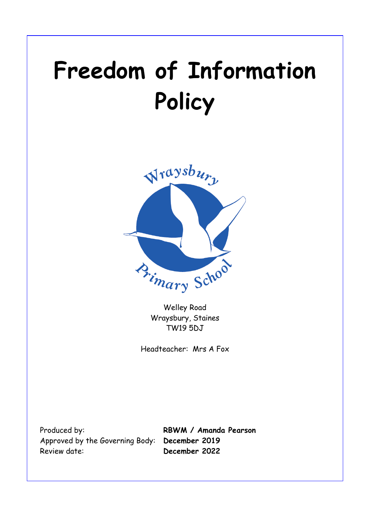# **Freedom of Information Policy**



Welley Road Wraysbury, Staines TW19 5DJ

Headteacher: Mrs A Fox

Produced by: **RBWM / Amanda Pearson** Approved by the Governing Body: **December 2019** Review date: **December 2022**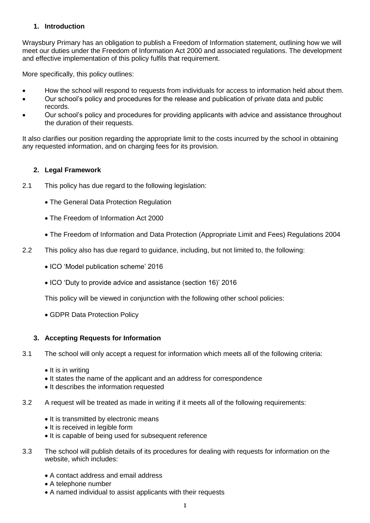## **1. Introduction**

Wraysbury Primary has an obligation to publish a Freedom of Information statement, outlining how we will meet our duties under the Freedom of Information Act 2000 and associated regulations. The development and effective implementation of this policy fulfils that requirement.

More specifically, this policy outlines:

- How the school will respond to requests from individuals for access to information held about them.
- Our school's policy and procedures for the release and publication of private data and public records.
- Our school's policy and procedures for providing applicants with advice and assistance throughout the duration of their requests.

It also clarifies our position regarding the appropriate limit to the costs incurred by the school in obtaining any requested information, and on charging fees for its provision.

## **2. Legal Framework**

- 2.1 This policy has due regard to the following legislation:
	- The General Data Protection Regulation
	- The Freedom of Information Act 2000
	- The Freedom of Information and Data Protection (Appropriate Limit and Fees) Regulations 2004
- 2.2 This policy also has due regard to guidance, including, but not limited to, the following:
	- ICO 'Model publication scheme' 2016
	- ICO 'Duty to provide advice and assistance (section 16)' 2016

This policy will be viewed in conjunction with the following other school policies:

GDPR Data Protection Policy

#### **3. Accepting Requests for Information**

- 3.1 The school will only accept a request for information which meets all of the following criteria:
	- $\bullet$  It is in writing
	- It states the name of the applicant and an address for correspondence
	- It describes the information requested
- 3.2 A request will be treated as made in writing if it meets all of the following requirements:
	- It is transmitted by electronic means
	- It is received in legible form
	- It is capable of being used for subsequent reference
- 3.3 The school will publish details of its procedures for dealing with requests for information on the website, which includes:
	- A contact address and email address
	- A telephone number
	- A named individual to assist applicants with their requests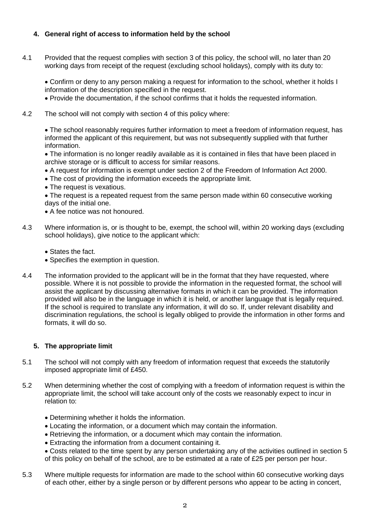## **4. General right of access to information held by the school**

4.1 Provided that the request complies with section 3 of this policy, the school will, no later than 20 working days from receipt of the request (excluding school holidays), comply with its duty to:

 Confirm or deny to any person making a request for information to the school, whether it holds I information of the description specified in the request.

- Provide the documentation, if the school confirms that it holds the requested information.
- 4.2 The school will not comply with section 4 of this policy where:

 The school reasonably requires further information to meet a freedom of information request, has informed the applicant of this requirement, but was not subsequently supplied with that further information.

 The information is no longer readily available as it is contained in files that have been placed in archive storage or is difficult to access for similar reasons.

- A request for information is exempt under section 2 of the Freedom of Information Act 2000.
- The cost of providing the information exceeds the appropriate limit.
- The request is vexatious.

 The request is a repeated request from the same person made within 60 consecutive working days of the initial one.

- A fee notice was not honoured.
- 4.3 Where information is, or is thought to be, exempt, the school will, within 20 working days (excluding school holidays), give notice to the applicant which:
	- States the fact.
	- Specifies the exemption in question.
- 4.4 The information provided to the applicant will be in the format that they have requested, where possible. Where it is not possible to provide the information in the requested format, the school will assist the applicant by discussing alternative formats in which it can be provided. The information provided will also be in the language in which it is held, or another language that is legally required. If the school is required to translate any information, it will do so. If, under relevant disability and discrimination regulations, the school is legally obliged to provide the information in other forms and formats, it will do so.

## **5. The appropriate limit**

- 5.1 The school will not comply with any freedom of information request that exceeds the statutorily imposed appropriate limit of £450.
- 5.2 When determining whether the cost of complying with a freedom of information request is within the appropriate limit, the school will take account only of the costs we reasonably expect to incur in relation to:
	- Determining whether it holds the information.
	- Locating the information, or a document which may contain the information.
	- Retrieving the information, or a document which may contain the information.
	- Extracting the information from a document containing it.
	- Costs related to the time spent by any person undertaking any of the activities outlined in section 5 of this policy on behalf of the school, are to be estimated at a rate of £25 per person per hour.
- 5.3 Where multiple requests for information are made to the school within 60 consecutive working days of each other, either by a single person or by different persons who appear to be acting in concert,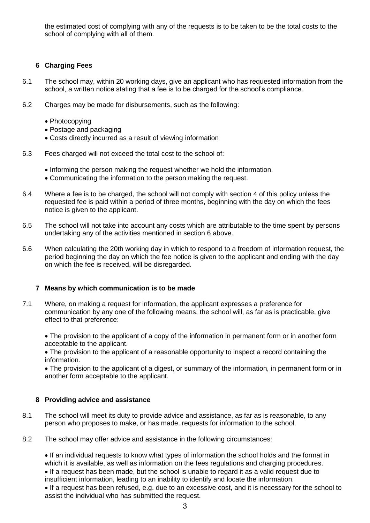the estimated cost of complying with any of the requests is to be taken to be the total costs to the school of complying with all of them.

## **6 Charging Fees**

- 6.1 The school may, within 20 working days, give an applicant who has requested information from the school, a written notice stating that a fee is to be charged for the school's compliance.
- 6.2 Charges may be made for disbursements, such as the following:
	- Photocopying
	- Postage and packaging
	- Costs directly incurred as a result of viewing information
- 6.3 Fees charged will not exceed the total cost to the school of:
	- Informing the person making the request whether we hold the information.
	- Communicating the information to the person making the request.
- 6.4 Where a fee is to be charged, the school will not comply with section 4 of this policy unless the requested fee is paid within a period of three months, beginning with the day on which the fees notice is given to the applicant.
- 6.5 The school will not take into account any costs which are attributable to the time spent by persons undertaking any of the activities mentioned in section 6 above.
- 6.6 When calculating the 20th working day in which to respond to a freedom of information request, the period beginning the day on which the fee notice is given to the applicant and ending with the day on which the fee is received, will be disregarded.

#### **7 Means by which communication is to be made**

7.1 Where, on making a request for information, the applicant expresses a preference for communication by any one of the following means, the school will, as far as is practicable, give effect to that preference:

• The provision to the applicant of a copy of the information in permanent form or in another form acceptable to the applicant.

 The provision to the applicant of a reasonable opportunity to inspect a record containing the information.

 The provision to the applicant of a digest, or summary of the information, in permanent form or in another form acceptable to the applicant.

#### **8 Providing advice and assistance**

- 8.1 The school will meet its duty to provide advice and assistance, as far as is reasonable, to any person who proposes to make, or has made, requests for information to the school.
- 8.2 The school may offer advice and assistance in the following circumstances:

 If an individual requests to know what types of information the school holds and the format in which it is available, as well as information on the fees regulations and charging procedures.

 If a request has been made, but the school is unable to regard it as a valid request due to insufficient information, leading to an inability to identify and locate the information.

 If a request has been refused, e.g. due to an excessive cost, and it is necessary for the school to assist the individual who has submitted the request.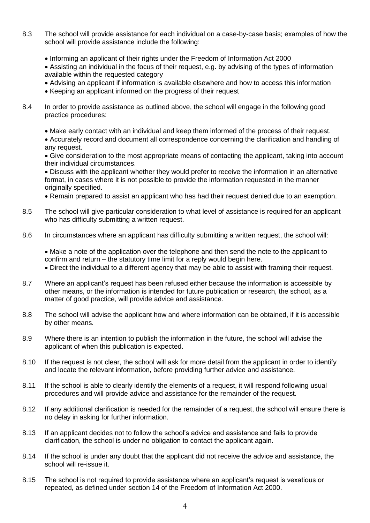- 8.3 The school will provide assistance for each individual on a case-by-case basis; examples of how the school will provide assistance include the following:
	- Informing an applicant of their rights under the Freedom of Information Act 2000

 Assisting an individual in the focus of their request, e.g. by advising of the types of information available within the requested category

- Advising an applicant if information is available elsewhere and how to access this information
- Keeping an applicant informed on the progress of their request
- 8.4 In order to provide assistance as outlined above, the school will engage in the following good practice procedures:
	- Make early contact with an individual and keep them informed of the process of their request.
	- Accurately record and document all correspondence concerning the clarification and handling of any request.

 Give consideration to the most appropriate means of contacting the applicant, taking into account their individual circumstances.

 Discuss with the applicant whether they would prefer to receive the information in an alternative format, in cases where it is not possible to provide the information requested in the manner originally specified.

- Remain prepared to assist an applicant who has had their request denied due to an exemption.
- 8.5 The school will give particular consideration to what level of assistance is required for an applicant who has difficulty submitting a written request.
- 8.6 In circumstances where an applicant has difficulty submitting a written request, the school will:

 Make a note of the application over the telephone and then send the note to the applicant to confirm and return – the statutory time limit for a reply would begin here.

Direct the individual to a different agency that may be able to assist with framing their request.

- 8.7 Where an applicant's request has been refused either because the information is accessible by other means, or the information is intended for future publication or research, the school, as a matter of good practice, will provide advice and assistance.
- 8.8 The school will advise the applicant how and where information can be obtained, if it is accessible by other means.
- 8.9 Where there is an intention to publish the information in the future, the school will advise the applicant of when this publication is expected.
- 8.10 If the request is not clear, the school will ask for more detail from the applicant in order to identify and locate the relevant information, before providing further advice and assistance.
- 8.11 If the school is able to clearly identify the elements of a request, it will respond following usual procedures and will provide advice and assistance for the remainder of the request.
- 8.12 If any additional clarification is needed for the remainder of a request, the school will ensure there is no delay in asking for further information.
- 8.13 If an applicant decides not to follow the school's advice and assistance and fails to provide clarification, the school is under no obligation to contact the applicant again.
- 8.14 If the school is under any doubt that the applicant did not receive the advice and assistance, the school will re-issue it.
- 8.15 The school is not required to provide assistance where an applicant's request is vexatious or repeated, as defined under section 14 of the Freedom of Information Act 2000.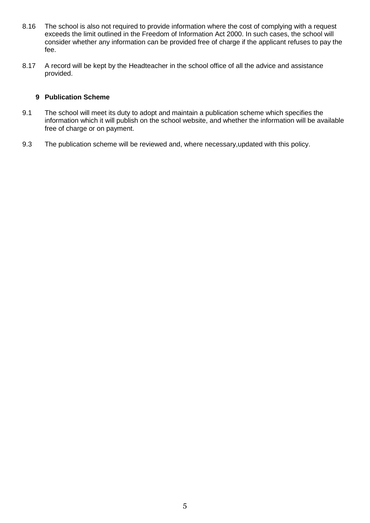- 8.16 The school is also not required to provide information where the cost of complying with a request exceeds the limit outlined in the Freedom of Information Act 2000. In such cases, the school will consider whether any information can be provided free of charge if the applicant refuses to pay the fee.
- 8.17 A record will be kept by the Headteacher in the school office of all the advice and assistance provided.

#### **9 Publication Scheme**

- 9.1 The school will meet its duty to adopt and maintain a publication scheme which specifies the information which it will publish on the school website, and whether the information will be available free of charge or on payment.
- 9.3 The publication scheme will be reviewed and, where necessary,updated with this policy.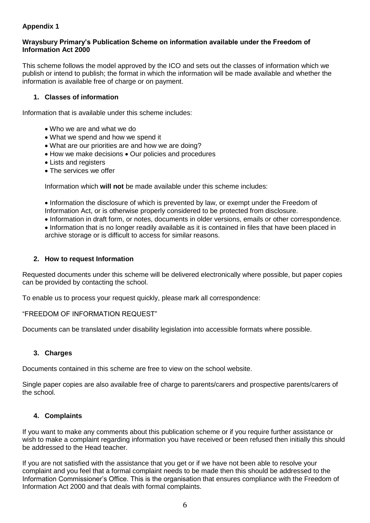## **Appendix 1**

#### **Wraysbury Primary's Publication Scheme on information available under the Freedom of Information Act 2000**

This scheme follows the model approved by the ICO and sets out the classes of information which we publish or intend to publish; the format in which the information will be made available and whether the information is available free of charge or on payment.

## **1. Classes of information**

Information that is available under this scheme includes:

- Who we are and what we do
- What we spend and how we spend it
- What are our priorities are and how we are doing?
- How we make decisions Our policies and procedures
- Lists and registers
- The services we offer

Information which **will not** be made available under this scheme includes:

• Information the disclosure of which is prevented by law, or exempt under the Freedom of Information Act, or is otherwise properly considered to be protected from disclosure.

Information in draft form, or notes, documents in older versions, emails or other correspondence.

• Information that is no longer readily available as it is contained in files that have been placed in archive storage or is difficult to access for similar reasons.

#### **2. How to request Information**

Requested documents under this scheme will be delivered electronically where possible, but paper copies can be provided by contacting the school.

To enable us to process your request quickly, please mark all correspondence:

#### "FREEDOM OF INFORMATION REQUEST"

Documents can be translated under disability legislation into accessible formats where possible.

#### **3. Charges**

Documents contained in this scheme are free to view on the school website.

Single paper copies are also available free of charge to parents/carers and prospective parents/carers of the school.

#### **4. Complaints**

If you want to make any comments about this publication scheme or if you require further assistance or wish to make a complaint regarding information you have received or been refused then initially this should be addressed to the Head teacher.

If you are not satisfied with the assistance that you get or if we have not been able to resolve your complaint and you feel that a formal complaint needs to be made then this should be addressed to the Information Commissioner's Office. This is the organisation that ensures compliance with the Freedom of Information Act 2000 and that deals with formal complaints.